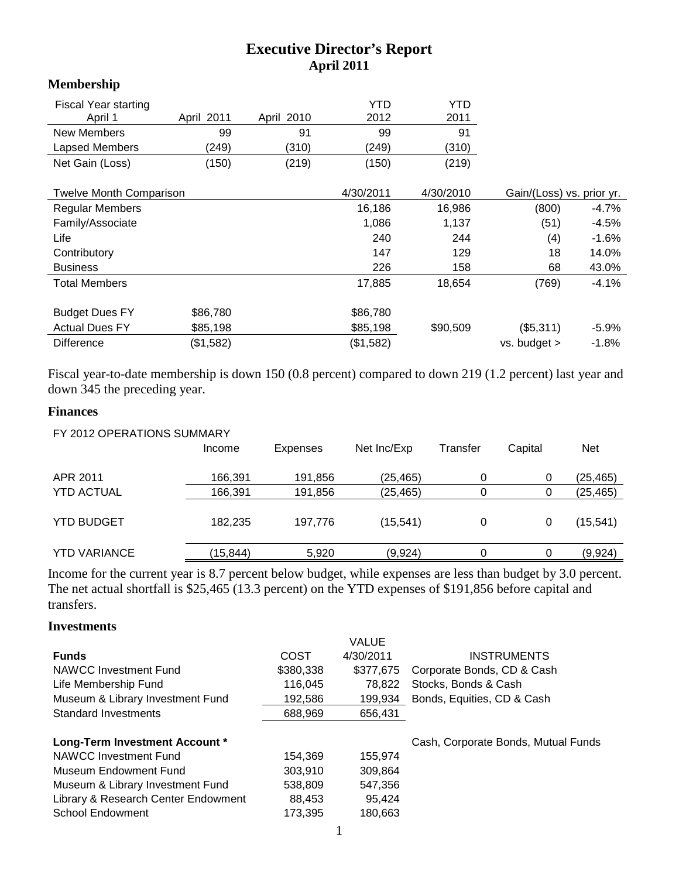# **Executive Director's Report April 2011**

### **Membership**

| <b>Fiscal Year starting</b> |            |            | YTD   | YTD   |
|-----------------------------|------------|------------|-------|-------|
| April 1                     | April 2011 | April 2010 | 2012  | 2011  |
| New Members                 | 99         | 91         | 99    | 91    |
| Lapsed Members              | (249)      | (310)      | (249) | (310) |
| Net Gain (Loss)             | (150)      | (219)      | (150) | (219) |

|                        | 4/30/2011<br><b>Twelve Month Comparison</b> |           | 4/30/2010 | Gain/(Loss) vs. prior yr. |          |
|------------------------|---------------------------------------------|-----------|-----------|---------------------------|----------|
| <b>Regular Members</b> |                                             | 16,186    | 16,986    | (800)                     | -4.7%    |
| Family/Associate       |                                             | 1,086     | 1,137     | (51)                      | $-4.5%$  |
| Life                   |                                             | 240       | 244       | (4)                       | $-1.6%$  |
| Contributory           |                                             | 147       | 129       | 18                        | 14.0%    |
| <b>Business</b>        |                                             | 226       | 158       | 68                        | 43.0%    |
| <b>Total Members</b>   |                                             | 17,885    | 18.654    | (769)                     | $-4.1%$  |
| <b>Budget Dues FY</b>  | \$86,780                                    | \$86,780  |           |                           |          |
| <b>Actual Dues FY</b>  | \$85,198                                    | \$85,198  | \$90,509  | (\$5,311)                 | $-5.9\%$ |
| <b>Difference</b>      | (\$1,582)                                   | (\$1,582) |           | $vs.$ budget $>$          | $-1.8%$  |

Fiscal year-to-date membership is down 150 (0.8 percent) compared to down 219 (1.2 percent) last year and down 345 the preceding year.

#### **Finances**

| FY 2012 OPERATIONS SUMMARY |          |                 |             |          |         |           |
|----------------------------|----------|-----------------|-------------|----------|---------|-----------|
|                            | Income   | <b>Expenses</b> | Net Inc/Exp | Transfer | Capital | Net       |
| APR 2011                   | 166,391  | 191,856         | (25,465)    | 0        | 0       | (25,465)  |
| <b>YTD ACTUAL</b>          | 166,391  | 191,856         | (25, 465)   |          |         | (25,465)  |
| <b>YTD BUDGET</b>          | 182,235  | 197.776         | (15, 541)   | 0        |         | (15, 541) |
| <b>YTD VARIANCE</b>        | (15,844) | 5,920           | (9,924)     | 0        |         | (9,924)   |

Income for the current year is 8.7 percent below budget, while expenses are less than budget by 3.0 percent. The net actual shortfall is \$25,465 (13.3 percent) on the YTD expenses of \$191,856 before capital and transfers.

#### **Investments**

| VALUE                                   |                                                                                                  |
|-----------------------------------------|--------------------------------------------------------------------------------------------------|
| 4/30/2011                               | <b>INSTRUMENTS</b>                                                                               |
| \$377.675<br>Corporate Bonds, CD & Cash |                                                                                                  |
| Stocks, Bonds & Cash<br>78.822          |                                                                                                  |
| Bonds, Equities, CD & Cash<br>199,934   |                                                                                                  |
| 656,431                                 |                                                                                                  |
|                                         |                                                                                                  |
| Cash, Corporate Bonds, Mutual Funds     |                                                                                                  |
| 155.974                                 |                                                                                                  |
| 309.864                                 |                                                                                                  |
| 547,356                                 |                                                                                                  |
| 95.424                                  |                                                                                                  |
| 180,663                                 |                                                                                                  |
| COST                                    | \$380,338<br>116,045<br>192,586<br>688,969<br>154.369<br>303.910<br>538,809<br>88,453<br>173,395 |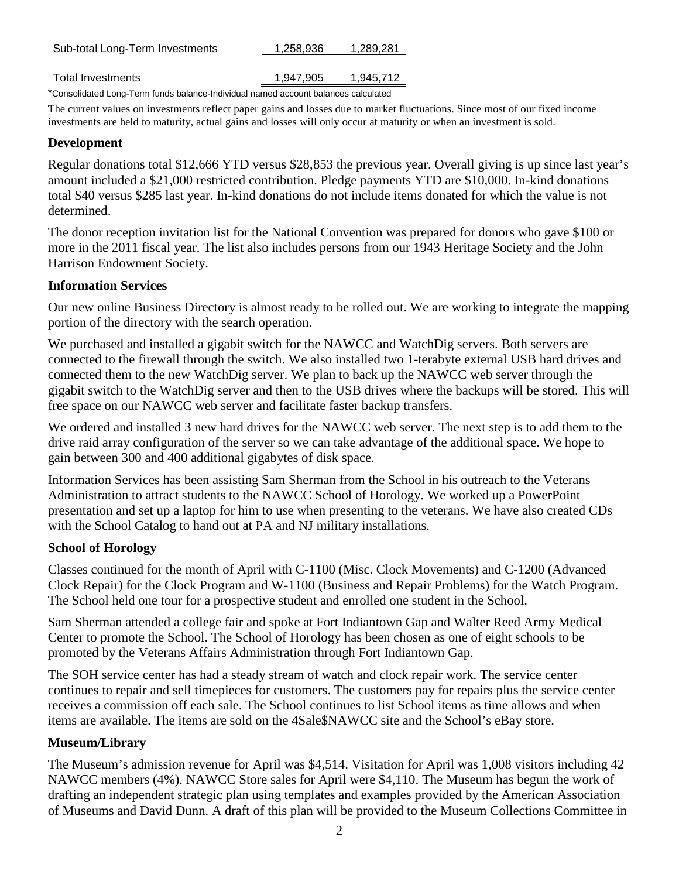| Sub-total Long-Term Investments                                                    | 1.258.936 | 1,289,281 |  |  |  |
|------------------------------------------------------------------------------------|-----------|-----------|--|--|--|
|                                                                                    |           |           |  |  |  |
| Total Investments                                                                  | 1.947.905 | 1,945,712 |  |  |  |
| *Consolidated Long-Term funds balance-Individual named account balances calculated |           |           |  |  |  |

The current values on investments reflect paper gains and losses due to market fluctuations. Since most of our fixed income investments are held to maturity, actual gains and losses will only occur at maturity or when an investment is sold.

# **Development**

Regular donations total \$12,666 YTD versus \$28,853 the previous year. Overall giving is up since last year's amount included a \$21,000 restricted contribution. Pledge payments YTD are \$10,000. In-kind donations total \$40 versus \$285 last year. In-kind donations do not include items donated for which the value is not determined.

The donor reception invitation list for the National Convention was prepared for donors who gave \$100 or more in the 2011 fiscal year. The list also includes persons from our 1943 Heritage Society and the John Harrison Endowment Society.

# **Information Services**

Our new online Business Directory is almost ready to be rolled out. We are working to integrate the mapping portion of the directory with the search operation.

We purchased and installed a gigabit switch for the NAWCC and WatchDig servers. Both servers are connected to the firewall through the switch. We also installed two 1-terabyte external USB hard drives and connected them to the new WatchDig server. We plan to back up the NAWCC web server through the gigabit switch to the WatchDig server and then to the USB drives where the backups will be stored. This will free space on our NAWCC web server and facilitate faster backup transfers.

We ordered and installed 3 new hard drives for the NAWCC web server. The next step is to add them to the drive raid array configuration of the server so we can take advantage of the additional space. We hope to gain between 300 and 400 additional gigabytes of disk space.

Information Services has been assisting Sam Sherman from the School in his outreach to the Veterans Administration to attract students to the NAWCC School of Horology. We worked up a PowerPoint presentation and set up a laptop for him to use when presenting to the veterans. We have also created CDs with the School Catalog to hand out at PA and NJ military installations.

## **School of Horology**

Classes continued for the month of April with C-1100 (Misc. Clock Movements) and C-1200 (Advanced Clock Repair) for the Clock Program and W-1100 (Business and Repair Problems) for the Watch Program. The School held one tour for a prospective student and enrolled one student in the School.

Sam Sherman attended a college fair and spoke at Fort Indiantown Gap and Walter Reed Army Medical Center to promote the School. The School of Horology has been chosen as one of eight schools to be promoted by the Veterans Affairs Administration through Fort Indiantown Gap.

The SOH service center has had a steady stream of watch and clock repair work. The service center continues to repair and sell timepieces for customers. The customers pay for repairs plus the service center receives a commission off each sale. The School continues to list School items as time allows and when items are available. The items are sold on the 4Sale\$NAWCC site and the School's eBay store.

# **Museum/Library**

The Museum's admission revenue for April was \$4,514. Visitation for April was 1,008 visitors including 42 NAWCC members (4%). NAWCC Store sales for April were \$4,110. The Museum has begun the work of drafting an independent strategic plan using templates and examples provided by the American Association of Museums and David Dunn. A draft of this plan will be provided to the Museum Collections Committee in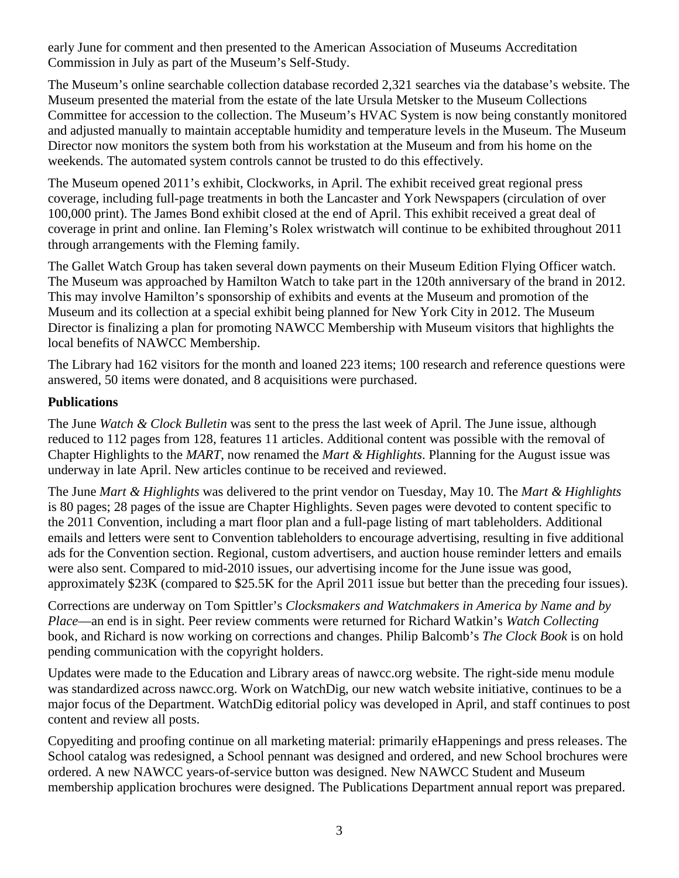early June for comment and then presented to the American Association of Museums Accreditation Commission in July as part of the Museum's Self-Study.

The Museum's online searchable collection database recorded 2,321 searches via the database's website. The Museum presented the material from the estate of the late Ursula Metsker to the Museum Collections Committee for accession to the collection. The Museum's HVAC System is now being constantly monitored and adjusted manually to maintain acceptable humidity and temperature levels in the Museum. The Museum Director now monitors the system both from his workstation at the Museum and from his home on the weekends. The automated system controls cannot be trusted to do this effectively.

The Museum opened 2011's exhibit, Clockworks, in April. The exhibit received great regional press coverage, including full-page treatments in both the Lancaster and York Newspapers (circulation of over 100,000 print). The James Bond exhibit closed at the end of April. This exhibit received a great deal of coverage in print and online. Ian Fleming's Rolex wristwatch will continue to be exhibited throughout 2011 through arrangements with the Fleming family.

The Gallet Watch Group has taken several down payments on their Museum Edition Flying Officer watch. The Museum was approached by Hamilton Watch to take part in the 120th anniversary of the brand in 2012. This may involve Hamilton's sponsorship of exhibits and events at the Museum and promotion of the Museum and its collection at a special exhibit being planned for New York City in 2012. The Museum Director is finalizing a plan for promoting NAWCC Membership with Museum visitors that highlights the local benefits of NAWCC Membership.

The Library had 162 visitors for the month and loaned 223 items; 100 research and reference questions were answered, 50 items were donated, and 8 acquisitions were purchased.

### **Publications**

The June *Watch & Clock Bulletin* was sent to the press the last week of April. The June issue, although reduced to 112 pages from 128, features 11 articles. Additional content was possible with the removal of Chapter Highlights to the *MART*, now renamed the *Mart & Highlights*. Planning for the August issue was underway in late April. New articles continue to be received and reviewed.

The June *Mart & Highlights* was delivered to the print vendor on Tuesday, May 10. The *Mart & Highlights* is 80 pages; 28 pages of the issue are Chapter Highlights. Seven pages were devoted to content specific to the 2011 Convention, including a mart floor plan and a full-page listing of mart tableholders. Additional emails and letters were sent to Convention tableholders to encourage advertising, resulting in five additional ads for the Convention section. Regional, custom advertisers, and auction house reminder letters and emails were also sent. Compared to mid-2010 issues, our advertising income for the June issue was good, approximately \$23K (compared to \$25.5K for the April 2011 issue but better than the preceding four issues).

Corrections are underway on Tom Spittler's *Clocksmakers and Watchmakers in America by Name and by Place*—an end is in sight. Peer review comments were returned for Richard Watkin's *Watch Collecting* book, and Richard is now working on corrections and changes. Philip Balcomb's *The Clock Book* is on hold pending communication with the copyright holders.

Updates were made to the Education and Library areas of nawcc.org website. The right-side menu module was standardized across nawcc.org. Work on WatchDig, our new watch website initiative, continues to be a major focus of the Department. WatchDig editorial policy was developed in April, and staff continues to post content and review all posts.

Copyediting and proofing continue on all marketing material: primarily eHappenings and press releases. The School catalog was redesigned, a School pennant was designed and ordered, and new School brochures were ordered. A new NAWCC years-of-service button was designed. New NAWCC Student and Museum membership application brochures were designed. The Publications Department annual report was prepared.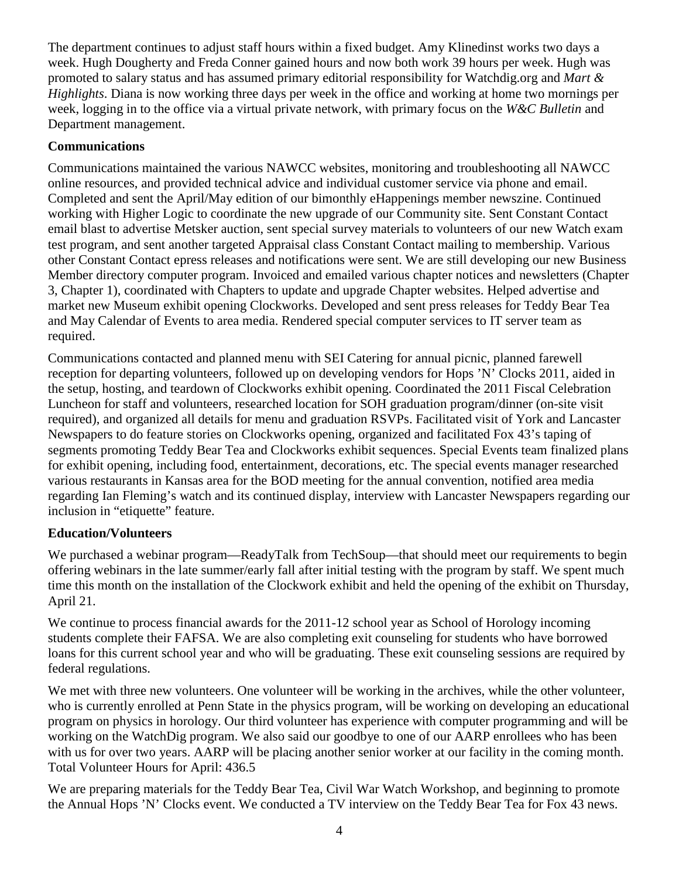The department continues to adjust staff hours within a fixed budget. Amy Klinedinst works two days a week. Hugh Dougherty and Freda Conner gained hours and now both work 39 hours per week. Hugh was promoted to salary status and has assumed primary editorial responsibility for Watchdig.org and *Mart & Highlights*. Diana is now working three days per week in the office and working at home two mornings per week, logging in to the office via a virtual private network, with primary focus on the *W&C Bulletin* and Department management.

### **Communications**

Communications maintained the various NAWCC websites, monitoring and troubleshooting all NAWCC online resources, and provided technical advice and individual customer service via phone and email. Completed and sent the April/May edition of our bimonthly eHappenings member newszine. Continued working with Higher Logic to coordinate the new upgrade of our Community site. Sent Constant Contact email blast to advertise Metsker auction, sent special survey materials to volunteers of our new Watch exam test program, and sent another targeted Appraisal class Constant Contact mailing to membership. Various other Constant Contact epress releases and notifications were sent. We are still developing our new Business Member directory computer program. Invoiced and emailed various chapter notices and newsletters (Chapter 3, Chapter 1), coordinated with Chapters to update and upgrade Chapter websites. Helped advertise and market new Museum exhibit opening Clockworks. Developed and sent press releases for Teddy Bear Tea and May Calendar of Events to area media. Rendered special computer services to IT server team as required.

Communications contacted and planned menu with SEI Catering for annual picnic, planned farewell reception for departing volunteers, followed up on developing vendors for Hops 'N' Clocks 2011, aided in the setup, hosting, and teardown of Clockworks exhibit opening. Coordinated the 2011 Fiscal Celebration Luncheon for staff and volunteers, researched location for SOH graduation program/dinner (on-site visit required), and organized all details for menu and graduation RSVPs. Facilitated visit of York and Lancaster Newspapers to do feature stories on Clockworks opening, organized and facilitated Fox 43's taping of segments promoting Teddy Bear Tea and Clockworks exhibit sequences. Special Events team finalized plans for exhibit opening, including food, entertainment, decorations, etc. The special events manager researched various restaurants in Kansas area for the BOD meeting for the annual convention, notified area media regarding Ian Fleming's watch and its continued display, interview with Lancaster Newspapers regarding our inclusion in "etiquette" feature.

### **Education/Volunteers**

We purchased a webinar program—ReadyTalk from TechSoup—that should meet our requirements to begin offering webinars in the late summer/early fall after initial testing with the program by staff. We spent much time this month on the installation of the Clockwork exhibit and held the opening of the exhibit on Thursday, April 21.

We continue to process financial awards for the 2011-12 school year as School of Horology incoming students complete their FAFSA. We are also completing exit counseling for students who have borrowed loans for this current school year and who will be graduating. These exit counseling sessions are required by federal regulations.

We met with three new volunteers. One volunteer will be working in the archives, while the other volunteer, who is currently enrolled at Penn State in the physics program, will be working on developing an educational program on physics in horology. Our third volunteer has experience with computer programming and will be working on the WatchDig program. We also said our goodbye to one of our AARP enrollees who has been with us for over two years. AARP will be placing another senior worker at our facility in the coming month. Total Volunteer Hours for April: 436.5

We are preparing materials for the Teddy Bear Tea, Civil War Watch Workshop, and beginning to promote the Annual Hops 'N' Clocks event. We conducted a TV interview on the Teddy Bear Tea for Fox 43 news.